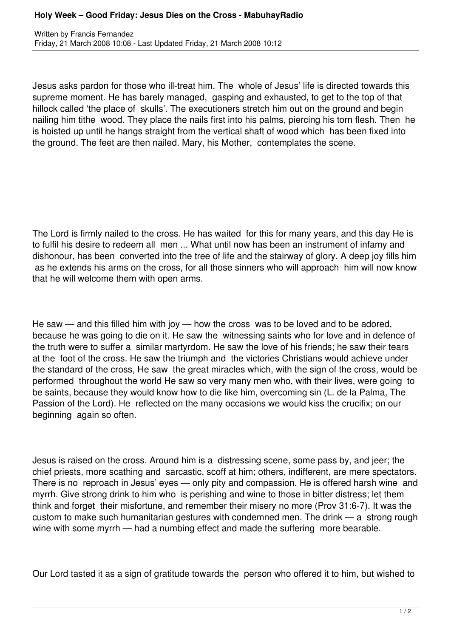## **Holy Week – Good Friday: Jesus Dies on the Cross - MabuhayRadio**

Jesus asks pardon for those who ill-treat him. The whole of Jesus' life is directed towards this supreme moment. He has barely managed, gasping and exhausted, to get to the top of that hillock called 'the place of skulls'. The executioners stretch him out on the ground and begin nailing him tithe wood. They place the nails first into his palms, piercing his torn flesh. Then he is hoisted up until he hangs straight from the vertical shaft of wood which has been fixed into the ground. The feet are then nailed. Mary, his Mother, contemplates the scene.

The Lord is firmly nailed to the cross. He has waited for this for many years, and this day He is to fulfil his desire to redeem all men ... What until now has been an instrument of infamy and dishonour, has been converted into the tree of life and the stairway of glory. A deep joy fills him as he extends his arms on the cross, for all those sinners who will approach him will now know that he will welcome them with open arms.

He saw — and this filled him with joy — how the cross was to be loved and to be adored, because he was going to die on it. He saw the witnessing saints who for love and in defence of the truth were to suffer a similar martyrdom. He saw the love of his friends; he saw their tears at the foot of the cross. He saw the triumph and the victories Christians would achieve under the standard of the cross, He saw the great miracles which, with the sign of the cross, would be performed throughout the world He saw so very many men who, with their lives, were going to be saints, because they would know how to die like him, overcoming sin (L. de la Palma, The Passion of the Lord). He reflected on the many occasions we would kiss the crucifix; on our beginning again so often.

Jesus is raised on the cross. Around him is a distressing scene, some pass by, and jeer; the chief priests, more scathing and sarcastic, scoff at him; others, indifferent, are mere spectators. There is no reproach in Jesus' eyes — only pity and compassion. He is offered harsh wine and myrrh. Give strong drink to him who is perishing and wine to those in bitter distress; let them think and forget their misfortune, and remember their misery no more (Prov 31:6-7). It was the custom to make such humanitarian gestures with condemned men. The drink — a strong rough wine with some myrrh — had a numbing effect and made the suffering more bearable.

Our Lord tasted it as a sign of gratitude towards the person who offered it to him, but wished to